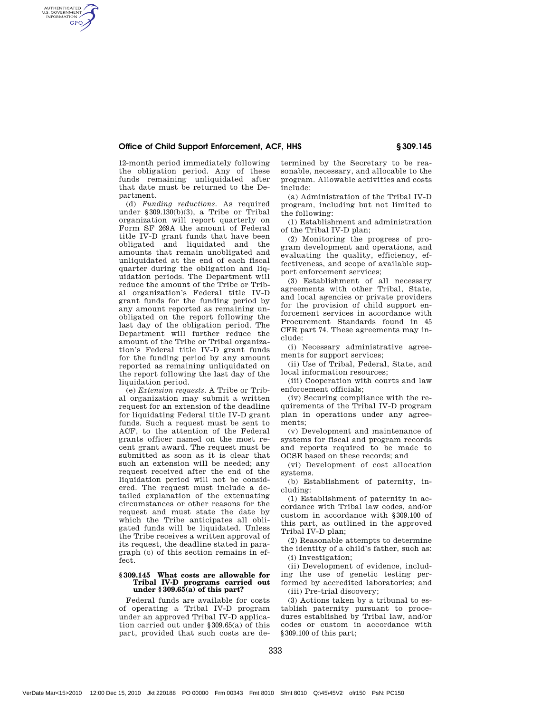# Office of Child Support Enforcement, ACF, HHS § 309.145

12-month period immediately following the obligation period. Any of these funds remaining unliquidated after that date must be returned to the Department.

AUTHENTICATED<br>U.S. GOVERNMENT<br>INFORMATION **GPO** 

> (d) *Funding reductions.* As required under §309.130(b)(3), a Tribe or Tribal organization will report quarterly on Form SF 269A the amount of Federal title IV-D grant funds that have been obligated and liquidated and the amounts that remain unobligated and unliquidated at the end of each fiscal quarter during the obligation and liquidation periods. The Department will reduce the amount of the Tribe or Tribal organization's Federal title IV-D grant funds for the funding period by any amount reported as remaining unobligated on the report following the last day of the obligation period. The Department will further reduce the amount of the Tribe or Tribal organization's Federal title IV-D grant funds for the funding period by any amount reported as remaining unliquidated on the report following the last day of the liquidation period.

> (e) *Extension requests.* A Tribe or Tribal organization may submit a written request for an extension of the deadline for liquidating Federal title IV-D grant funds. Such a request must be sent to ACF, to the attention of the Federal grants officer named on the most recent grant award. The request must be submitted as soon as it is clear that such an extension will be needed; any request received after the end of the liquidation period will not be considered. The request must include a detailed explanation of the extenuating circumstances or other reasons for the request and must state the date by which the Tribe anticipates all obligated funds will be liquidated. Unless the Tribe receives a written approval of its request, the deadline stated in paragraph (c) of this section remains in effect.

### **§ 309.145 What costs are allowable for Tribal IV-D programs carried out under § 309.65(a) of this part?**

Federal funds are available for costs of operating a Tribal IV-D program under an approved Tribal IV-D application carried out under §309.65(a) of this part, provided that such costs are determined by the Secretary to be reasonable, necessary, and allocable to the program. Allowable activities and costs include:

(a) Administration of the Tribal IV-D program, including but not limited to the following:

(1) Establishment and administration of the Tribal IV-D plan;

(2) Monitoring the progress of program development and operations, and evaluating the quality, efficiency, effectiveness, and scope of available support enforcement services;

(3) Establishment of all necessary agreements with other Tribal, State, and local agencies or private providers for the provision of child support enforcement services in accordance with Procurement Standards found in 45 CFR part 74. These agreements may include:

(i) Necessary administrative agreements for support services;

(ii) Use of Tribal, Federal, State, and local information resources;

(iii) Cooperation with courts and law enforcement officials;

(iv) Securing compliance with the requirements of the Tribal IV-D program plan in operations under any agreements;

(v) Development and maintenance of systems for fiscal and program records and reports required to be made to OCSE based on these records; and

(vi) Development of cost allocation systems.

(b) Establishment of paternity, including:

(1) Establishment of paternity in accordance with Tribal law codes, and/or custom in accordance with §309.100 of this part, as outlined in the approved Tribal IV-D plan;

(2) Reasonable attempts to determine the identity of a child's father, such as: (i) Investigation;

(ii) Development of evidence, including the use of genetic testing performed by accredited laboratories; and (iii) Pre-trial discovery;

(3) Actions taken by a tribunal to establish paternity pursuant to procedures established by Tribal law, and/or codes or custom in accordance with §309.100 of this part;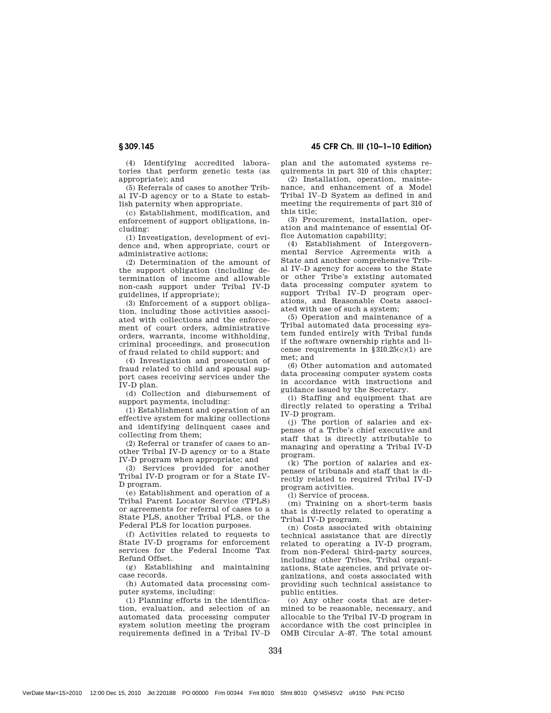(4) Identifying accredited laboratories that perform genetic tests (as appropriate); and

(5) Referrals of cases to another Tribal IV-D agency or to a State to establish paternity when appropriate.

(c) Establishment, modification, and enforcement of support obligations, including:

(1) Investigation, development of evidence and, when appropriate, court or administrative actions;

(2) Determination of the amount of the support obligation (including determination of income and allowable non-cash support under Tribal IV-D guidelines, if appropriate);

(3) Enforcement of a support obligation, including those activities associated with collections and the enforcement of court orders, administrative orders, warrants, income withholding, criminal proceedings, and prosecution of fraud related to child support; and

(4) Investigation and prosecution of fraud related to child and spousal support cases receiving services under the IV-D plan.

(d) Collection and disbursement of support payments, including:

(1) Establishment and operation of an effective system for making collections and identifying delinquent cases and collecting from them;

(2) Referral or transfer of cases to another Tribal IV-D agency or to a State IV-D program when appropriate; and

(3) Services provided for another Tribal IV-D program or for a State IV-D program.

(e) Establishment and operation of a Tribal Parent Locator Service (TPLS) or agreements for referral of cases to a State PLS, another Tribal PLS, or the Federal PLS for location purposes.

(f) Activities related to requests to State IV-D programs for enforcement services for the Federal Income Tax Refund Offset.

(g) Establishing and maintaining case records.

(h) Automated data processing computer systems, including:

(1) Planning efforts in the identification, evaluation, and selection of an automated data processing computer system solution meeting the program requirements defined in a Tribal IV–D

§ 309.145 45 CFR Ch. III (10–1–10 Edition)

plan and the automated systems requirements in part 310 of this chapter;

(2) Installation, operation, maintenance, and enhancement of a Model Tribal IV–D System as defined in and meeting the requirements of part 310 of this title;

(3) Procurement, installation, operation and maintenance of essential Office Automation capability;

(4) Establishment of Intergovernmental Service Agreements with a State and another comprehensive Tribal IV–D agency for access to the State or other Tribe's existing automated data processing computer system to support Tribal IV–D program operations, and Reasonable Costs associated with use of such a system;

(5) Operation and maintenance of a Tribal automated data processing system funded entirely with Tribal funds if the software ownership rights and license requirements in  $$310.25(c)(1)$  are met; and

(6) Other automation and automated data processing computer system costs in accordance with instructions and guidance issued by the Secretary.

(i) Staffing and equipment that are directly related to operating a Tribal IV-D program.

(j) The portion of salaries and expenses of a Tribe's chief executive and staff that is directly attributable to managing and operating a Tribal IV-D program.

(k) The portion of salaries and expenses of tribunals and staff that is directly related to required Tribal IV-D program activities.

(l) Service of process.

(m) Training on a short-term basis that is directly related to operating a Tribal IV-D program.

(n) Costs associated with obtaining technical assistance that are directly related to operating a IV-D program, from non-Federal third-party sources, including other Tribes, Tribal organizations, State agencies, and private organizations, and costs associated with providing such technical assistance to public entities.

(o) Any other costs that are determined to be reasonable, necessary, and allocable to the Tribal IV-D program in accordance with the cost principles in OMB Circular A–87. The total amount